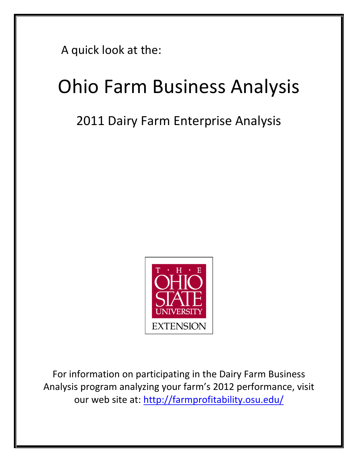A quick look at the:

# Ohio Farm Business Analysis

## 2011 Dairy Farm Enterprise Analysis



For information on participating in the Dairy Farm Business Analysis program anal[yzing your farm's 2012 performanc](http://farmprofitability.osu.edu/)e, visit our web site at: http://far[mprofitability.osu.edu/](mailto:shoemaker.3@osu.edu)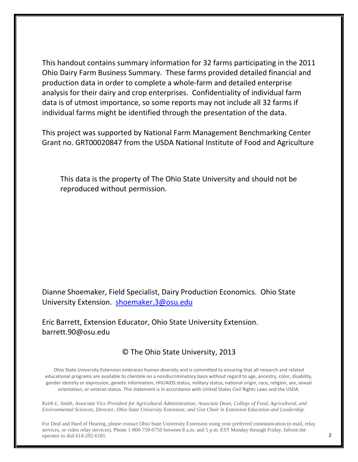This handout contains summary information for 32 farms participating in the 2011 Ohio Dairy Farm Business Summary. These farms provided detailed financial and production data in order to complete a whole-farm and detailed enterprise analysis for their dairy and crop enterprises. Confidentiality of individual farm data is of utmost importance, so some reports may not include all 32 farms if individual farms might be identified through the presentation of the data.

This project was supported by National Farm Management Benchmarking Center Grant no. GRT00020847 from the USDA National Institute of Food and Agriculture

This data is the property of The Ohio State University and should not be reproduced without permission.

Dianne Shoemaker, Field Specialist, Dairy Production Economics. Ohio State University Extension. [shoemaker.3@osu.edu](mailto:shoemaker.3@osu.edu)

Eric Barrett, Extension Educator, Ohio State University Extension. barrett.90@osu.edu

## © The Ohio State University, 2013

Ohio State University Extension embraces human diversity and is committed to ensuring that all research and related educational programs are available to clientele on a nondiscriminatory basis without regard to age, ancestry, color, disability, gender identity or expression, genetic information, HIV/AIDS status, military status, national origin, race, religion, sex, sexual orientation, or veteran status. This statement is in accordance with United States Civil Rights Laws and the USDA.

*Keith L. Smith, Associate Vice President for Agricultural Administration; Associate Dean, College of Food, Agricultural, and Environmental Sciences; Director, Ohio State University Extension; and Gist Chair in Extension Education and Leadership.*

For Deaf and Hard of Hearing, please contact Ohio State University Extension using your preferred communication (e-mail, relay services, or video relay services). Phone 1-800-750-0750 between 8 a.m. and 5 p.m. EST Monday through Friday. Inform the operator to dial 614-292-6181.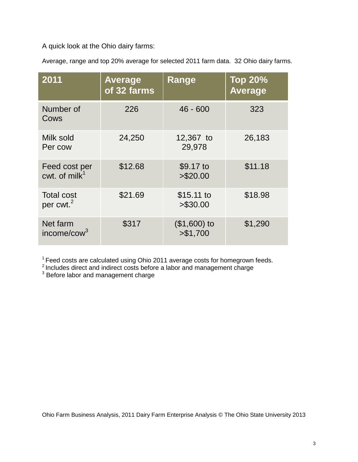A quick look at the Ohio dairy farms:

Average, range and top 20% average for selected 2011 farm data. 32 Ohio dairy farms.

| 2011                                       | <b>Average</b><br>of 32 farms | <b>Range</b>               | <b>Top 20%</b><br><b>Average</b> |
|--------------------------------------------|-------------------------------|----------------------------|----------------------------------|
| Number of<br>Cows                          | 226                           | $46 - 600$                 | 323                              |
| Milk sold<br>Per cow                       | 24,250                        | 12,367 to<br>29,978        | 26,183                           |
| Feed cost per<br>cwt. of $milk1$           | \$12.68                       | \$9.17 to<br>> \$20.00     | \$11.18                          |
| <b>Total cost</b><br>per cwt. <sup>2</sup> | \$21.69                       | $$15.11$ to<br>> \$30.00   | \$18.98                          |
| Net farm<br>income/cow $3$                 | \$317                         | $($1,600)$ to<br>> \$1,700 | \$1,290                          |

 $1$  Feed costs are calculated using Ohio 2011 average costs for homegrown feeds.

 $2$  Includes direct and indirect costs before a labor and management charge

 $3$  Before labor and management charge

Ohio Farm Business Analysis, 2011 Dairy Farm Enterprise Analysis © The Ohio State University 2013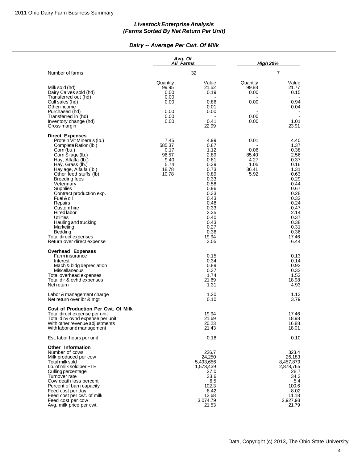### **Livestock Enterprise Analysis (Farms Sorted By Net Return Per Unit)**

#### **Dairy -- Average Per Cwt. Of Milk**

|                                                                                                                                                                                                                                                                                                                                                                                                                                                                                                                              | Livestock Enterprise Analysis<br>(Farms Sorted By Net Return Per Unit) |                                                                                                                                                                                       |                                                        |                                                                                                                                                                                       |
|------------------------------------------------------------------------------------------------------------------------------------------------------------------------------------------------------------------------------------------------------------------------------------------------------------------------------------------------------------------------------------------------------------------------------------------------------------------------------------------------------------------------------|------------------------------------------------------------------------|---------------------------------------------------------------------------------------------------------------------------------------------------------------------------------------|--------------------------------------------------------|---------------------------------------------------------------------------------------------------------------------------------------------------------------------------------------|
|                                                                                                                                                                                                                                                                                                                                                                                                                                                                                                                              | Dairy -- Average Per Cwt. Of Milk                                      |                                                                                                                                                                                       |                                                        |                                                                                                                                                                                       |
|                                                                                                                                                                                                                                                                                                                                                                                                                                                                                                                              | Avg. Of<br><u>All Farms</u>                                            |                                                                                                                                                                                       | <b>High 20%</b>                                        |                                                                                                                                                                                       |
| Number of farms                                                                                                                                                                                                                                                                                                                                                                                                                                                                                                              |                                                                        | 32                                                                                                                                                                                    |                                                        | $\overline{7}$                                                                                                                                                                        |
| Milk sold (hd)<br>Dairy Calves sold (hd)<br>Transferred out (hd)<br>Cull sales (hd)<br>Other income<br>Purchased (hd)<br>Transferred in (hd)<br>Inventory change (hd)<br>Gross margin                                                                                                                                                                                                                                                                                                                                        | Quantity<br>99.95<br>0.00<br>0.00<br>0.00<br>0.00<br>0.00<br>0.00      | Value<br>21.52<br>0.19<br>0.86<br>0.01<br>0.00<br>0.41<br>22.99                                                                                                                       | Quantity<br>99.88<br>0.00<br>0.00<br>0.00<br>0.00      | Value<br>21.77<br>0.15<br>0.94<br>0.04<br>1.01<br>23.91                                                                                                                               |
| <b>Direct Expenses</b><br>Protein Vit Minerals (lb.)<br>Complete Ration (lb.)<br>Corn (bu.)<br>Corn Silage (lb.)<br>Hay, Alfalfa (lb.)<br>Hay, Grass (lb.)<br>Haylage, Alfalfa (lb.)<br>Other feed stuffs (lb)<br><b>Breeding fees</b><br>Veterinary<br>Supplies<br>Contract production exp.<br>Fuel & oil<br>Repairs<br>Custom hire<br><b>Hired labor</b><br>Utilities<br>Hauling and trucking<br>Marketing<br>Bedding<br>Total direct expenses<br>Return over direct expense<br><b>Overhead Expenses</b><br>Farm insurance | 7.45<br>585.37<br>0.17<br>96.57<br>9.40<br>5.74<br>18.78<br>10.78      | 4.99<br>0.87<br>1.12<br>2.89<br>0.81<br>0.39<br>0.73<br>0.89<br>0.33<br>0.58<br>0.96<br>0.33<br>0.43<br>0.48<br>0.33<br>2.35<br>0.40<br>0.43<br>0.27<br>0.36<br>19.94<br>3.05<br>0.15 | 0.01<br>0.06<br>85.40<br>4.27<br>1.05<br>36.41<br>5.92 | 4.40<br>1.37<br>0.38<br>2.56<br>0.37<br>0.16<br>1.31<br>0.63<br>0.29<br>0.44<br>0.67<br>0.28<br>0.32<br>0.24<br>0.47<br>2.14<br>0.37<br>0.38<br>0.31<br>0.36<br>17.46<br>6.44<br>0.13 |
| Interest<br>Mach & bldg depreciation<br>Miscellaneous<br>Total overhead expenses<br>Total dir & ovhd expenses<br>Net return                                                                                                                                                                                                                                                                                                                                                                                                  |                                                                        | 0.34<br>0.89<br>0.37<br>1.74<br>21.69<br>1.31                                                                                                                                         |                                                        | 0.14<br>0.92<br>0.32<br>1.52<br>18.98<br>4.93                                                                                                                                         |
| Labor & management charge<br>Net return over Ibr & mgt                                                                                                                                                                                                                                                                                                                                                                                                                                                                       |                                                                        | 1.20<br>0.10                                                                                                                                                                          |                                                        | 1.13<br>3.79                                                                                                                                                                          |
| Cost of Production Per Cwt. Of Milk<br>Total direct expense per unit<br>Total dir& ovhd expense per unit<br>With other revenue adjustments<br>With labor and management                                                                                                                                                                                                                                                                                                                                                      |                                                                        | 19.94<br>21.69<br>20.23<br>21.43                                                                                                                                                      |                                                        | 17.46<br>18.98<br>16.88<br>18.01                                                                                                                                                      |
| Est. labor hours per unit                                                                                                                                                                                                                                                                                                                                                                                                                                                                                                    |                                                                        | 0.18                                                                                                                                                                                  |                                                        | 0.10                                                                                                                                                                                  |
| <b>Other Information</b><br>Number of cows<br>Milk produced per cow<br>Total milk sold<br>Lb. of milk sold per FTE<br>Culling percentage<br>Turnover rate<br>Cow death loss percent<br>Percent of barn capacity<br>Feed cost per day<br>Feed cost per cwt. of milk<br>Feed cost per cow<br>Avg. milk price per cwt.                                                                                                                                                                                                          |                                                                        | 226.7<br>24,250<br>5,493,656<br>1,573,439<br>27.0<br>33.6<br>6.5<br>102.3<br>8.42<br>12.68<br>3,074.79<br>21.53                                                                       |                                                        | 323.4<br>26,183<br>8,457,879<br>2,878,765<br>28.7<br>34.3<br>5.4<br>100.6<br>8.02<br>11.18<br>2,927.93<br>21.79                                                                       |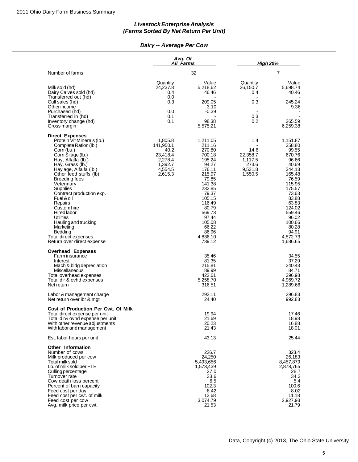### **Livestock Enterprise Analysis (Farms Sorted By Net Return Per Unit)**

#### **Dairy -- Average Per Cow**

|                                                                                                                                                                                                                                                                                                                                                                                                                                                                                                                                     | <b>Livestock Enterprise Analysis</b><br>(Farms Sorted By Net Return Per Unit)        |                                                                                                                                                                                                                                |                                                                   |                                                                                                                                                                                                                               |
|-------------------------------------------------------------------------------------------------------------------------------------------------------------------------------------------------------------------------------------------------------------------------------------------------------------------------------------------------------------------------------------------------------------------------------------------------------------------------------------------------------------------------------------|--------------------------------------------------------------------------------------|--------------------------------------------------------------------------------------------------------------------------------------------------------------------------------------------------------------------------------|-------------------------------------------------------------------|-------------------------------------------------------------------------------------------------------------------------------------------------------------------------------------------------------------------------------|
|                                                                                                                                                                                                                                                                                                                                                                                                                                                                                                                                     | Dairy -- Average Per Cow                                                             |                                                                                                                                                                                                                                |                                                                   |                                                                                                                                                                                                                               |
|                                                                                                                                                                                                                                                                                                                                                                                                                                                                                                                                     | Avg. Of<br><b>All Farms</b>                                                          |                                                                                                                                                                                                                                | <b>High 20%</b>                                                   |                                                                                                                                                                                                                               |
| Number of farms                                                                                                                                                                                                                                                                                                                                                                                                                                                                                                                     |                                                                                      | 32                                                                                                                                                                                                                             |                                                                   | 7                                                                                                                                                                                                                             |
| Milk sold (hd)<br>Dairy Calves sold (hd)<br>Transferred out (hd)<br>Cull sales (hd)<br>Other income<br>Purchased (hd)                                                                                                                                                                                                                                                                                                                                                                                                               | Quantity<br>24,237.8<br>0.4<br>0.0<br>0.3<br>0.0                                     | Value<br>5,218.62<br>46.46<br>209.05<br>3.10<br>$-0.39$                                                                                                                                                                        | Quantity<br>26,150.7<br>0.4<br>0.3<br>$\blacksquare$              | Value<br>5,698.74<br>40.46<br>245.24<br>9.36                                                                                                                                                                                  |
| Transferred in (hd)<br>Inventory change (hd)<br>Gross margin                                                                                                                                                                                                                                                                                                                                                                                                                                                                        | 0.1<br>0.1                                                                           | 98.38<br>5,575.21                                                                                                                                                                                                              | 0.3<br>0.2                                                        | 265.59<br>6,259.38                                                                                                                                                                                                            |
| <b>Direct Expenses</b><br>Protein Vit Minerals (lb.)<br>Complete Ration (lb.)<br>Corn (bu.)<br>Corn Silage (lb.)<br>Hay, Alfalfa (lb.)<br>Hay, Grass (lb.)<br>Haylage, Alfalfa (lb.)<br>Other feed stuffs (lb)<br><b>Breeding fees</b><br>Veterinary<br>Supplies<br>Contract production exp.<br>Fuel & oil<br>Repairs<br>Custom hire<br><b>Hired labor</b><br><b>Utilities</b><br>Hauling and trucking<br>Marketing<br>Bedding<br>Total direct expenses<br>Return over direct expense<br><b>Overhead Expenses</b><br>Farm insurance | 1,805.8<br>141,950.1<br>40.2<br>23,418.4<br>2,278.4<br>1.392.7<br>4,554.5<br>2,615.3 | 1,211.05<br>211.16<br>270.80<br>700.18<br>195.24<br>94.27<br>176.11<br>215.97<br>79.85<br>141.38<br>232.85<br>79.37<br>105.15<br>116.49<br>80.79<br>569.73<br>97.44<br>105.08<br>66.22<br>86.96<br>4,836.10<br>739.12<br>35.46 | 1.4<br>14.6<br>22,358.7<br>1,117.5<br>273.6<br>9,531.8<br>1,550.5 | 1,151.87<br>358.80<br>99.55<br>670.76<br>96.66<br>40.69<br>344.13<br>165.48<br>76.59<br>115.95<br>175.57<br>73.63<br>83.88<br>63.83<br>124.02<br>559.46<br>96.02<br>100.66<br>80.28<br>94.91<br>4,572.73<br>1,686.65<br>34.55 |
| Interest<br>Mach & bldg depreciation<br>Miscellaneous<br>Total overhead expenses<br>Total dir & ovhd expenses<br>Net return                                                                                                                                                                                                                                                                                                                                                                                                         |                                                                                      | 81.35<br>215.81<br>89.99<br>422.61<br>5.258.70<br>316.51                                                                                                                                                                       |                                                                   | 37.29<br>240.43<br>84.71<br>396.98<br>4,969.72<br>1,289.66                                                                                                                                                                    |
| Labor & management charge<br>Net return over Ibr & mgt                                                                                                                                                                                                                                                                                                                                                                                                                                                                              |                                                                                      | 292.11<br>24.40                                                                                                                                                                                                                |                                                                   | 296.83<br>992.83                                                                                                                                                                                                              |
| Cost of Production Per Cwt. Of Milk<br>Total direct expense per unit<br>Total dir& ovhd expense per unit<br>With other revenue adjustments<br>With labor and management                                                                                                                                                                                                                                                                                                                                                             |                                                                                      | 19.94<br>21.69<br>20.23<br>21.43                                                                                                                                                                                               |                                                                   | 17.46<br>18.98<br>16.88<br>18.01                                                                                                                                                                                              |
| Est. labor hours per unit                                                                                                                                                                                                                                                                                                                                                                                                                                                                                                           |                                                                                      | 43.13                                                                                                                                                                                                                          |                                                                   | 25.44                                                                                                                                                                                                                         |
| <b>Other Information</b><br>Number of cows<br>Milk produced per cow<br>Total milk sold<br>Lb. of milk sold per FTE<br><b>Culling percentage</b><br>Turnover rate<br>Cow death loss percent<br>Percent of barn capacity<br>Feed cost per day<br>Feed cost per cwt. of milk<br>Feed cost per cow<br>Avg. milk price per cwt.                                                                                                                                                                                                          |                                                                                      | 226.7<br>24,250<br>5,493,656<br>1,573,439<br>27.0<br>33.6<br>6.5<br>102.3<br>8.42<br>12.68<br>3,074.79<br>21.53                                                                                                                |                                                                   | 323.4<br>26,183<br>8,457,879<br>2,878,765<br>28.7<br>34.3<br>5.4<br>100.6<br>8.02<br>11.18<br>2,927.93<br>21.79                                                                                                               |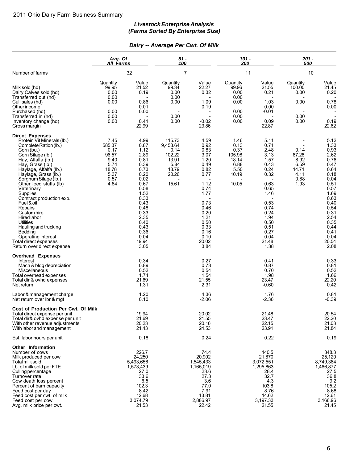#### *Livestock Enterprise Analysis (Farms Sorted By Enterprise Size)*

#### *Dairy -- Average Per Cwt. Of Milk*

|                                                                                                                                                                                                                                                                                                                                                                                                                                                                                                                        | Avg. Of<br>All Farms                                                             |                                                                                                                                                                                       | $51 -$<br>100                                                                    |                                                                                                                                                                       | $101 -$<br>200                                                            |                                                                                                                                                                       | $201 -$<br>500                                                 |                                                                                                                                                                                       |
|------------------------------------------------------------------------------------------------------------------------------------------------------------------------------------------------------------------------------------------------------------------------------------------------------------------------------------------------------------------------------------------------------------------------------------------------------------------------------------------------------------------------|----------------------------------------------------------------------------------|---------------------------------------------------------------------------------------------------------------------------------------------------------------------------------------|----------------------------------------------------------------------------------|-----------------------------------------------------------------------------------------------------------------------------------------------------------------------|---------------------------------------------------------------------------|-----------------------------------------------------------------------------------------------------------------------------------------------------------------------|----------------------------------------------------------------|---------------------------------------------------------------------------------------------------------------------------------------------------------------------------------------|
| Number of farms                                                                                                                                                                                                                                                                                                                                                                                                                                                                                                        |                                                                                  | 32                                                                                                                                                                                    |                                                                                  | $\overline{7}$                                                                                                                                                        | 11                                                                        |                                                                                                                                                                       | 10                                                             |                                                                                                                                                                                       |
| Milk sold (hd)<br>Dairy Calves sold (hd)<br>Transferred out (hd)<br>Cull sales (hd)<br>Other income<br>Purchased (hd)<br>Transferred in (hd)<br>Inventory change (hd)<br>Gross margin                                                                                                                                                                                                                                                                                                                                  | Quantity<br>99.95<br>0.00<br>0.00<br>0.00<br>0.00<br>0.00<br>0.00                | Value<br>21.52<br>0.19<br>0.86<br>0.01<br>0.00<br>0.41<br>22.99                                                                                                                       | Quantity<br>99.34<br>0.00<br>0.00<br>0.00<br>0.00<br>0.00                        | Value<br>22.27<br>0.32<br>1.09<br>0.19<br>$-0.02$<br>23.86                                                                                                            | Quantity<br>99.96<br>0.00<br>0.00<br>0.00<br>0.00<br>0.00<br>0.00         | Value<br>21.55<br>0.21<br>1.03<br>0.00<br>$-0.01$<br>0.09<br>22.87                                                                                                    | Quantity<br>100.00<br>0.00<br>0.00<br>0.00<br>0.00             | Value<br>21.45<br>0.20<br>0.78<br>0.00<br>0.19<br>22.62                                                                                                                               |
| <b>Direct Expenses</b><br>Protein Vit Minerals (lb.)<br>Complete Ration (lb.)<br>Corn (bu.)<br>Corn Silage (lb.)<br>Hay, Alfalfa (lb.)<br>Hay, Grass (lb.)<br>Haylage, Alfalfa (lb.)<br>Haylage, Grass (lb.)<br>Sorghum Silage (lb.)<br>Other feed stuffs (lb)<br>Veterinary<br>Supplies<br>Contract production exp.<br>Fuel & oil<br>Repairs<br>Custom hire<br><b>Hired labor</b><br><b>Utilities</b><br>Hauling and trucking<br>Bedding<br>Operating interest<br>Total direct expenses<br>Return over direct expense | 7.45<br>585.37<br>0.17<br>96.57<br>9.40<br>5.74<br>18.78<br>5.37<br>0.57<br>4.84 | 4.99<br>0.87<br>1.12<br>2.89<br>0.81<br>0.39<br>0.73<br>0.20<br>0.02<br>0.67<br>0.58<br>1.52<br>0.33<br>0.43<br>0.48<br>0.33<br>2.35<br>0.40<br>0.43<br>0.36<br>0.04<br>19.94<br>3.05 | 115.73<br>9,453.64<br>0.14<br>102.22<br>13.91<br>5.84<br>18.79<br>20.26<br>15.61 | 4.59<br>0.92<br>0.83<br>3.07<br>1.20<br>0.49<br>0.82<br>0.77<br>1.12<br>0.74<br>1.77<br>0.73<br>0.46<br>0.20<br>1.21<br>0.50<br>0.33<br>0.16<br>0.10<br>20.02<br>3.84 | 1.46<br>0.13<br>0.37<br>105.98<br>18.14<br>6.88<br>5.50<br>10.19<br>10.05 | 5.11<br>0.71<br>2.48<br>3.13<br>1.57<br>0.43<br>0.24<br>0.32<br>0.63<br>0.65<br>1.46<br>0.53<br>0.74<br>0.24<br>1.94<br>0.50<br>0.51<br>0.27<br>0.04<br>21.48<br>1.38 | 0.14<br>87.28<br>8.92<br>6.59<br>14.71<br>4.11<br>0.88<br>1.93 | 5.12<br>1.33<br>0.93<br>2.62<br>0.76<br>0.47<br>0.64<br>0.18<br>0.04<br>0.51<br>0.57<br>1.69<br>0.63<br>0.40<br>0.54<br>0.31<br>2.54<br>0.35<br>0.44<br>0.41<br>0.04<br>20.54<br>2.08 |
| <b>Overhead Expenses</b><br>Interest<br>Mach & bldg depreciation<br>Miscellaneous<br>Total overhead expenses<br>Total dir & ovhd expenses<br>Net return                                                                                                                                                                                                                                                                                                                                                                |                                                                                  | 0.34<br>0.89<br>0.52<br>1.74<br>21.69<br>1.31                                                                                                                                         |                                                                                  | 0.27<br>0.73<br>0.54<br>1.54<br>21.55<br>2.31                                                                                                                         |                                                                           | 0.41<br>0.87<br>0.70<br>1.98<br>23.47<br>$-0.60$                                                                                                                      |                                                                | 0.33<br>0.81<br>0.52<br>1.66<br>22.20<br>0.42                                                                                                                                         |
| Labor & management charge<br>Net return over Ibr & mgt                                                                                                                                                                                                                                                                                                                                                                                                                                                                 |                                                                                  | 1.20<br>0.10                                                                                                                                                                          |                                                                                  | 4.36<br>-2.06                                                                                                                                                         |                                                                           | 1.76<br>$-2.36$                                                                                                                                                       |                                                                | 0.81<br>$-0.39$                                                                                                                                                                       |
| Cost of Production Per Cwt. Of Milk<br>Total direct expense per unit<br>Total dir& ovhd expense per unit<br>With other revenue adjustments<br>With labor and management                                                                                                                                                                                                                                                                                                                                                |                                                                                  | 19.94<br>21.69<br>20.23<br>21.43                                                                                                                                                      |                                                                                  | 20.02<br>21.55<br>20.16<br>24.53                                                                                                                                      |                                                                           | 21.48<br>23.47<br>22.15<br>23.91                                                                                                                                      |                                                                | 20.54<br>22.20<br>21.03<br>21.84                                                                                                                                                      |
| Est. labor hours per unit                                                                                                                                                                                                                                                                                                                                                                                                                                                                                              |                                                                                  | 0.18                                                                                                                                                                                  |                                                                                  | 0.24                                                                                                                                                                  |                                                                           | 0.22                                                                                                                                                                  |                                                                | 0.19                                                                                                                                                                                  |
| Other Information<br>Number of cows<br>Milk produced per cow<br>Total milk sold<br>Lb. of milk sold per FTE<br>Culling percentage<br>Turnover rate<br>Cow death loss percent<br>Percent of barn capacity<br>Feed cost per day<br>Feed cost per cwt. of milk<br>Feed cost per cow<br>Avg. milk price per cwt.                                                                                                                                                                                                           |                                                                                  | 226.7<br>24,250<br>5,493,656<br>1,573,439<br>27.0<br>33.6<br>6.5<br>102.3<br>8.42<br>12.68<br>3,074.79<br>21.53                                                                       |                                                                                  | 74.4<br>20,902<br>1,545,433<br>1,165,019<br>23.6<br>27.3<br>3.6<br>77.0<br>7.91<br>13.81<br>2,886.97<br>22.42                                                         |                                                                           | 140.5<br>21,870<br>3,072,551<br>1,295,863<br>28.4<br>32.7<br>4.3<br>103.8<br>8.76<br>14.62<br>3,197.33<br>21.55                                                       |                                                                | 348.3<br>25,120<br>8,749,384<br>1,466,877<br>27.5<br>36.8<br>9.2<br>105.2<br>8.68<br>12.61<br>3,166.96<br>21.45                                                                       |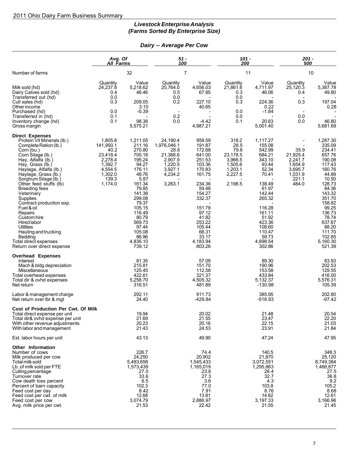### *Livestock Enterprise Analysis (Farms Sorted By Enterprise Size)*

#### *Dairy -- Average Per Cow*

|                                                                                                                                                                                                                                                                                                                                                                                                                                                                                                            | Avg. Of<br>All Farms                                                                                     |                                                                                                                                                                                                                               | $51 -$<br>100                                                                                      |                                                                                                                                                                                                             | 101 -<br>200                                                                             |                                                                                                                                                                                                              | $201 -$<br>500                                                                 |                                                                                                                                                                                                                                  |
|------------------------------------------------------------------------------------------------------------------------------------------------------------------------------------------------------------------------------------------------------------------------------------------------------------------------------------------------------------------------------------------------------------------------------------------------------------------------------------------------------------|----------------------------------------------------------------------------------------------------------|-------------------------------------------------------------------------------------------------------------------------------------------------------------------------------------------------------------------------------|----------------------------------------------------------------------------------------------------|-------------------------------------------------------------------------------------------------------------------------------------------------------------------------------------------------------------|------------------------------------------------------------------------------------------|--------------------------------------------------------------------------------------------------------------------------------------------------------------------------------------------------------------|--------------------------------------------------------------------------------|----------------------------------------------------------------------------------------------------------------------------------------------------------------------------------------------------------------------------------|
| Number of farms                                                                                                                                                                                                                                                                                                                                                                                                                                                                                            |                                                                                                          | 32                                                                                                                                                                                                                            |                                                                                                    | $\overline{7}$                                                                                                                                                                                              | 11                                                                                       |                                                                                                                                                                                                              |                                                                                | 10                                                                                                                                                                                                                               |
| Milk sold (hd)<br>Dairy Calves sold (hd)<br>Transferred out (hd)<br>Cull sales (hd)<br>Other income<br>Purchased (hd)<br>Transferred in (hd)<br>Inventory change (hd)<br>Gross margin                                                                                                                                                                                                                                                                                                                      | Quantity<br>24,237.8<br>0.4<br>0.0<br>0.3<br>0.0<br>0.1<br>0.1                                           | Value<br>5,218.62<br>46.46<br>209.05<br>3.10<br>$-0.39$<br>98.38<br>5,575.21                                                                                                                                                  | Quantity<br>20,764.0<br>0.5<br>0.0<br>0.2<br>$\overline{\phantom{a}}$<br>0.2<br>0.0                | Value<br>4.656.03<br>67.85<br>227.10<br>40.65<br>$-4.42$<br>4.987.21                                                                                                                                        | Quantity<br>21,861.6<br>0.3<br>0.0<br>0.3<br>0.0<br>0.0<br>0.1                           | Value<br>4,711.97<br>46.06<br>224.36<br>0.22<br>$-1.84$<br>20.63<br>5.001.40                                                                                                                                 | Quantity<br>$25,120.\overline{3}$<br>0.4<br>0.3<br>0.0<br>0.0                  | Value<br>5,387.78<br>49.80<br>197.04<br>0.28<br>46.80<br>5,681.69                                                                                                                                                                |
| <b>Direct Expenses</b><br>Protein Vit Minerals (lb.)<br>Complete Ration (lb.)<br>Corn (bu.)<br>Corn Silage (lb.)<br>Hay, Alfalfa (lb.)<br>Hay, Grass (lb.)<br>Haylage, Alfalfa (lb.)<br>Haylage, Grass (lb.)<br>Sorghum Silage (lb.)<br>Other feed stuffs (lb)<br>Breeding fees<br>Veterinary<br>Supplies<br>Contract production exp.<br>Fuel & oil<br>Repairs<br>Custom hire<br>Hired labor<br><b>Utilities</b><br>Hauling and trucking<br>Bedding<br>Total direct expenses<br>Return over direct expense | 1,805.8<br>141,950.1<br>40.2<br>23,418.4<br>2,278.4<br>1,392.7<br>4,554.5<br>1,302.0<br>139.3<br>1,174.0 | 1,211.05<br>211.16<br>270.80<br>700.18<br>195.24<br>94.27<br>176.11<br>48.76<br>5.87<br>161.34<br>79.85<br>141.38<br>299.08<br>79.37<br>105.15<br>116.49<br>80.79<br>569.73<br>97.44<br>105.08<br>86.96<br>4,836.10<br>739.12 | 24,190.4<br>1,976,046.1<br>28.6<br>21,366.6<br>2,907.9<br>1,220.5<br>3,927.1<br>4,234.2<br>3,263.1 | 959.59<br>191.87<br>172.68<br>641.00<br>251.53<br>103.36<br>170.83<br>161.75<br>234.36<br>59.48<br>154.27<br>332.37<br>151.78<br>97.12<br>41.82<br>253.22<br>105.44<br>68.31<br>33.17<br>4,183.94<br>803.26 | 318.2<br>28.5<br>79.8<br>23,178.5<br>3,966.5<br>1,505.6<br>1.203.1<br>2,227.5<br>2,198.5 | 1,117.27<br>155.08<br>542.99<br>684.21<br>343.10<br>93.44<br>52.34<br>70.41<br>138.49<br>61.97<br>142.44<br>265.32<br>116.28<br>161.11<br>51.92<br>423.36<br>108.60<br>110.47<br>59.73<br>4,698.54<br>302.86 | 35.9<br>21,925.4<br>2,241.7<br>1,654.9<br>3.695.7<br>1,031.9<br>221.1<br>484.0 | 1,287.30<br>335.09<br>234.41<br>657.76<br>190.08<br>117.43<br>160.76<br>44.89<br>10.50<br>128.73<br>84.36<br>143.32<br>351.70<br>158.82<br>99.25<br>136.73<br>78.74<br>637.67<br>88.20<br>111.70<br>102.85<br>5,160.30<br>521.39 |
| <b>Overhead Expenses</b><br>Interest<br>Mach & bldg depreciation<br>Miscellaneous<br>Total overhead expenses<br>Total dir & ovhd expenses<br>Net return                                                                                                                                                                                                                                                                                                                                                    |                                                                                                          | 81.35<br>215.81<br>125.45<br>422.61<br>5,258.70<br>316.51                                                                                                                                                                     |                                                                                                    | 57.09<br>151.70<br>112.58<br>321.37<br>4,505.32<br>481.89                                                                                                                                                   |                                                                                          | 89.30<br>190.96<br>153.58<br>433.84<br>5,132.37<br>$-130.98$                                                                                                                                                 |                                                                                | 83.93<br>202.53<br>129.55<br>416.00<br>5,576.31<br>105.39                                                                                                                                                                        |
| Labor & management charge<br>Net return over Ibr & mgt                                                                                                                                                                                                                                                                                                                                                                                                                                                     |                                                                                                          | 292.11<br>24.40                                                                                                                                                                                                               |                                                                                                    | 911.73<br>-429.84                                                                                                                                                                                           |                                                                                          | 385.95<br>$-516.93$                                                                                                                                                                                          |                                                                                | 202.80<br>$-97.42$                                                                                                                                                                                                               |
| Cost of Production Per Cwt. Of Milk<br>Total direct expense per unit<br>Total dir& ovhd expense per unit<br>With other revenue adjustments<br>With labor and management                                                                                                                                                                                                                                                                                                                                    |                                                                                                          | 19.94<br>21.69<br>20.23<br>21.43                                                                                                                                                                                              |                                                                                                    | 20.02<br>21.55<br>20.16<br>24.53                                                                                                                                                                            |                                                                                          | 21.48<br>23.47<br>22.15<br>23.91                                                                                                                                                                             |                                                                                | 20.54<br>22.20<br>21.03<br>21.84                                                                                                                                                                                                 |
| Est. labor hours per unit                                                                                                                                                                                                                                                                                                                                                                                                                                                                                  |                                                                                                          | 43.13                                                                                                                                                                                                                         |                                                                                                    | 49.90                                                                                                                                                                                                       |                                                                                          | 47.24                                                                                                                                                                                                        |                                                                                | 47.95                                                                                                                                                                                                                            |
| Other Information<br>Number of cows<br>Milk produced per cow<br>Total milk sold<br>Lb. of milk sold per FTE<br>Culling percentage<br>Turnover rate<br>Cow death loss percent<br>Percent of barn capacity<br>Feed cost per day<br>Feed cost per cwt. of milk<br>Feed cost per cow<br>Avg. milk price per cwt.                                                                                                                                                                                               |                                                                                                          | 226.7<br>24,250<br>5,493,656<br>1,573,439<br>27.0<br>33.6<br>6.5<br>102.3<br>8.42<br>12.68<br>3,074.79<br>21.53                                                                                                               |                                                                                                    | 74.4<br>20,902<br>1,545,433<br>1,165,019<br>23.6<br>27.3<br>3.6<br>77.0<br>7.91<br>13.81<br>2,886.97<br>22.42                                                                                               |                                                                                          | 140.5<br>21,870<br>3,072,551<br>1,295,863<br>28.4<br>32.7<br>4.3<br>103.8<br>8.76<br>14.62<br>3,197.33<br>21.55                                                                                              |                                                                                | 348.3<br>25,120<br>8,749,384<br>1,466,877<br>27.5<br>36.8<br>9.2<br>105.2<br>8.68<br>12.61<br>3,166.96<br>21.45                                                                                                                  |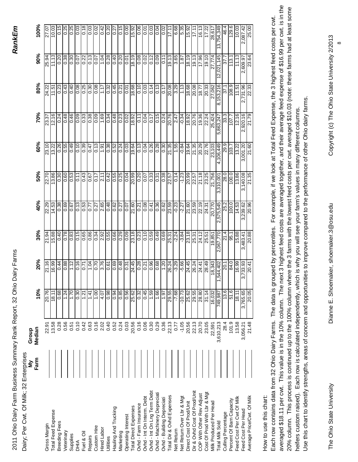| 100%<br>10.03<br>129.6<br>2,087.42<br>25.00<br>0.15<br>0.25<br>0.25<br>$\overline{0.03}$<br>10.03<br>0.03<br>0.18<br>$\frac{0.00}{\pi}$<br>$\frac{0.06}{\frac{1}{2}}$<br>$\frac{1}{2}$<br>$\frac{35}{15,00}$<br>$\overline{16.13}$<br>3,754,349<br>0.03<br>0.20<br>27.07<br>15.92<br>0.01<br>$\frac{50}{2}$<br>6.68<br>3<br>Ö<br>17.1<br>$\ddot{4}$<br>$\overline{5}$<br>0.2<br>17.1<br>÷<br>28,61<br>$\sqrt{17.2}$<br>90%<br>11.13<br>19.13<br>11.13<br>18.19<br>$\frac{19.13}{x}$<br>18.19<br>0.38<br>$\frac{8}{0}$<br>0.13<br>1.04<br>$\frac{8}{6}$<br>$\frac{8}{20}$<br>0.08<br>$\frac{1}{2}$<br>ြီ<br>3.65<br>$\frac{36}{17}$<br>$\frac{19.10}{ }$<br>27,774<br>2,021,145<br>113.1<br>25.94<br>0.20<br>$\frac{20}{2}$<br>23.64<br>$\frac{2}{2}$<br>0.07<br>$\overline{0.01}$<br>$\frac{1}{0.11}$<br>$\frac{1.87}{ }$<br>$\frac{5}{2}$<br>2,609.97<br>37.<br>80%<br>$\frac{0.32}{0.45}$<br>89.8<br>$\frac{1}{\frac{1}{2}}$<br>20.08<br>1.13<br>$\frac{108.9}{ }$<br>2,731.96<br>0.23<br>0.43<br>0.40<br>$\frac{80}{10}$<br>$\frac{25}{0.25}$<br>0.08<br>$\frac{10}{10}$<br>18.68<br>20.08<br>27,062<br>8,153,216<br>22.33<br>24.22<br>$\frac{30}{2}$<br>3.29<br>$\frac{33}{20}$<br>11.51<br>11.51<br>1.17<br>$\overline{0.21}$<br>$\overline{6}$<br>$\frac{1}{0.17}$<br>$\frac{18.77}{ }$<br>37.1<br>70%<br>$\frac{0.34}{0.48}$<br>0.48<br>0.46<br>0.09<br>$\overline{0.33}$<br>0.38<br>0.09<br>1.69<br>$\frac{23}{2}$<br>10.0<br>$\frac{6}{15}$<br>0.24<br>20.76<br>$\frac{10.34}{18.92}$<br>20.76<br>12.16<br>,920.16<br>12.16<br>0.24<br>18.92<br>19.36<br>25,424<br>21.79<br>$\frac{20}{2}$<br>22.24<br>0.11<br>$\frac{1}{2}$<br>2.47<br>$\frac{107.7}{ }$<br>23.37<br>5,863,247<br>$\tilde{\mathsf{N}}$<br>60%<br>$\frac{0.04}{}$<br>$\frac{27.35}{ }$<br>0.49<br>0.10<br>$\sqrt{39}$<br>0.13<br>$\overline{0.13}$<br>$\frac{0.26}{0.28}$<br>$-0.84$<br>$\frac{21.35}{20.29}$<br>22.76<br>3,001.20<br>23.10<br>13.22<br>0.55<br>0.38<br>$\frac{52}{2}$<br>$\frac{1}{24}$<br>0.03<br>19.64<br>$\frac{8}{0.30}$<br>19.64<br>23,103<br>29.9<br>21.60<br>0.26<br>1.55<br>4,106,449<br>13.22<br>1.91<br>$\frac{103.7}{ }$<br>$\sqrt{47}$<br>50%<br>13.86<br>$\frac{6}{2}$<br>$\frac{6}{10}$<br>$\frac{1}{2\sqrt{15}}$<br>$\frac{0.33}{0.31}$<br>0.38<br>$\frac{-1.23}{20.99}$<br>21.18<br>$\frac{100}{100}$<br>13.86<br>3,140.08<br>22.70<br>0.60<br>$\frac{25}{0.25}$<br>0.04<br>20.99<br>$\frac{0.20}{2}$<br>0.14<br>23.25<br>21,756<br>21.35<br>0.30<br>$\overline{0.11}$<br>0.17<br>28.0<br>0.07<br>$\frac{22.57}{ }$<br>3,310,001<br>22.57<br>$\frac{67}{6}$<br>40%<br>0.69<br>$\frac{13}{2}$<br> <br> 53<br>88827<br>21.60<br>$\frac{80}{100}$<br>$\frac{0.41}{0.36}$<br>23.59<br>$\frac{-2.27}{21.60}$<br>23.59<br>$\frac{100}{100}$<br>14.53<br>14.53<br>0.38<br>20,770<br>2,575,545<br>3,239.62<br>20.96<br><b>SSO</b><br>$-0.23$<br>25.2<br>$\frac{20}{10}$<br>0.27<br>24.31<br>0.21<br>$\frac{20}{2}$<br>$\sqrt{2}$<br>30%<br>$\frac{6}{15}$<br>$\frac{38}{100}$<br>$\frac{0.23}{0.10}$<br>88'91<br>$\frac{0.78}{0.83}$<br>$\frac{65}{10}$<br>0.86<br> 0.34 <br>$\overline{0.09}$<br>23.18<br>$\frac{0.59}{0.49}$<br>$\frac{69}{100}$<br>$\frac{-3.84}{23.18}$<br>88.07<br>0.40<br>$\frac{8}{20}$<br>$-2.24$<br>24.12<br>21.4<br>15.88<br>21.94<br>25.31<br>2,067,770<br>25.31<br>95.1<br>19,851<br>3,483.41<br>$\frac{25.51}{25.51}$<br>20%<br>0.70<br>3.76<br>$\frac{5}{100}$<br>$\frac{96}{0.68}$<br>910<br>1.04<br>$\frac{1}{0.48}$<br>24.45<br>0.28<br>1.20<br>26.24<br>$-3.29$<br>$-5.66$<br>24.45<br>21.16<br>16.99<br>0.88<br>1.12<br>$\frac{1}{2}$<br>0.21<br>$\frac{26.24}{24.41}$<br>18,343<br>3,733.93<br>0.44<br>28.49<br>$\sqrt{84.0}$<br>16.99<br>544,402<br>0.31<br>$\overline{20.41}$<br>20.1<br>10%<br>51.6<br>20.76<br>1.24<br>$\frac{01}{1}$<br>$\frac{6}{10}$<br>$\frac{85}{0.85}$<br>0.56<br>0.45<br>69.1<br>1.66<br>29.55<br>$-10.73$<br>29.55<br>16,032<br>9.81<br>3,765.65<br>20.05<br>0.68<br>0.30<br>1.00<br>0.98<br>25.62<br>0.32<br>$-7.68$<br>25.62<br>31.14<br>18.11<br>18.11<br>$\frac{1.21}{2}$<br>1.41<br>4.07<br>$\frac{1.61}{1.67}$<br>749,987<br>0.16<br>0.40<br>22.13<br>$-1.05$<br>0.28<br>0.56<br>0.10<br>0.42<br>0.63<br>2.02<br>0.52<br>0.24<br>0.03<br>20.56<br>0.16<br>0.06<br>0.30<br>0.29<br>0.36<br>20.56<br>22.13<br>20.70<br>3,610,213<br>101.9<br>13.58<br>21.48<br>13.58<br>0.51<br>23.05<br>28.4<br>3,056.21<br>0.77<br>22,591<br>22.91<br>Median<br>Farm<br>Dir & Ovhd Cost Of Prod/Unit<br>Ovhd - Int On Lng Term Debt<br>Cost Of Prod With Lbr & Mgt<br>Ovhd - Machinery Depreciati<br>COP With Other Rev Adjust<br>Total Dir & Ovhd Expenses<br>Average Price/Cwt. Of Milk<br>Ovhd - Int On Interm. Debt<br><b>Net Return Over Lbr &amp; Mgt</b><br>Feed Cost Per Cwt Of Milk<br>Ovhd - Building Depreciati<br>Percent Of Barn Capacity<br>Milk Produced Per Head<br>Direct Cost Of Prod/Unit<br>Ovhd - Farm Insurance<br><b>Total Direct Expenses</b><br>Hauling And Trucking<br>Feed Cost Per Head<br><b>Total Feed Expense</b><br>Culling Percentage<br>Operating Interest<br>Total Milk Sold<br>Breeding Fees<br>Gross Margin<br>Custom Hire<br>Hired Labor<br>Net Return<br>Veterinary<br>Fuel & Oil<br>Marketing<br>Supplies<br>Repairs<br>Jtilities |  |
|-----------------------------------------------------------------------------------------------------------------------------------------------------------------------------------------------------------------------------------------------------------------------------------------------------------------------------------------------------------------------------------------------------------------------------------------------------------------------------------------------------------------------------------------------------------------------------------------------------------------------------------------------------------------------------------------------------------------------------------------------------------------------------------------------------------------------------------------------------------------------------------------------------------------------------------------------------------------------------------------------------------------------------------------------------------------------------------------------------------------------------------------------------------------------------------------------------------------------------------------------------------------------------------------------------------------------------------------------------------------------------------------------------------------------------------------------------------------------------------------------------------------------------------------------------------------------------------------------------------------------------------------------------------------------------------------------------------------------------------------------------------------------------------------------------------------------------------------------------------------------------------------------------------------------------------------------------------------------------------------------------------------------------------------------------------------------------------------------------------------------------------------------------------------------------------------------------------------------------------------------------------------------------------------------------------------------------------------------------------------------------------------------------------------------------------------------------------------------------------------------------------------------------------------------------------------------------------------------------------------------------------------------------------------------------------------------------------------------------------------------------------------------------------------------------------------------------------------------------------------------------------------------------------------------------------------------------------------------------------------------------------------------------------------------------------------------------------------------------------------------------------------------------------------------------------------------------------------------------------------------------------------------------------------------------------------------------------------------------------------------------------------------------------------------------------------------------------------------------------------------------------------------------------------------------------------------------------------------------------------------------------------------------------------------------------------------------------------------------------------------------------------------------------------------------------------------------------------------------------------------------------------------------------------------------------------------------------------------------------------------------------------------------------------------------------------------------------------------------------------------------------------------------------------------------------------------------------------------------------------------------------------------------------------------------------------------------------------------------------------------------------------------------------------------------------------------------------------------------------------------------------------------------------------------------------------------------------------------------------------------------------------------------------------------------------------------------------------------------------------------------------------------------------------------------------------------------------------------------------------------------------------------------------------------------------------------------------------------------------------------------------------------------------------------------------------------------------------------------------------------------------------------------------------------------------------------------------------------------------|--|
|                                                                                                                                                                                                                                                                                                                                                                                                                                                                                                                                                                                                                                                                                                                                                                                                                                                                                                                                                                                                                                                                                                                                                                                                                                                                                                                                                                                                                                                                                                                                                                                                                                                                                                                                                                                                                                                                                                                                                                                                                                                                                                                                                                                                                                                                                                                                                                                                                                                                                                                                                                                                                                                                                                                                                                                                                                                                                                                                                                                                                                                                                                                                                                                                                                                                                                                                                                                                                                                                                                                                                                                                                                                                                                                                                                                                                                                                                                                                                                                                                                                                                                                                                                                                                                                                                                                                                                                                                                                                                                                                                                                                                                                                                                                                                                                                                                                                                                                                                                                                                                                                                                                                                                                                                                   |  |
|                                                                                                                                                                                                                                                                                                                                                                                                                                                                                                                                                                                                                                                                                                                                                                                                                                                                                                                                                                                                                                                                                                                                                                                                                                                                                                                                                                                                                                                                                                                                                                                                                                                                                                                                                                                                                                                                                                                                                                                                                                                                                                                                                                                                                                                                                                                                                                                                                                                                                                                                                                                                                                                                                                                                                                                                                                                                                                                                                                                                                                                                                                                                                                                                                                                                                                                                                                                                                                                                                                                                                                                                                                                                                                                                                                                                                                                                                                                                                                                                                                                                                                                                                                                                                                                                                                                                                                                                                                                                                                                                                                                                                                                                                                                                                                                                                                                                                                                                                                                                                                                                                                                                                                                                                                   |  |
|                                                                                                                                                                                                                                                                                                                                                                                                                                                                                                                                                                                                                                                                                                                                                                                                                                                                                                                                                                                                                                                                                                                                                                                                                                                                                                                                                                                                                                                                                                                                                                                                                                                                                                                                                                                                                                                                                                                                                                                                                                                                                                                                                                                                                                                                                                                                                                                                                                                                                                                                                                                                                                                                                                                                                                                                                                                                                                                                                                                                                                                                                                                                                                                                                                                                                                                                                                                                                                                                                                                                                                                                                                                                                                                                                                                                                                                                                                                                                                                                                                                                                                                                                                                                                                                                                                                                                                                                                                                                                                                                                                                                                                                                                                                                                                                                                                                                                                                                                                                                                                                                                                                                                                                                                                   |  |
| DHIA                                                                                                                                                                                                                                                                                                                                                                                                                                                                                                                                                                                                                                                                                                                                                                                                                                                                                                                                                                                                                                                                                                                                                                                                                                                                                                                                                                                                                                                                                                                                                                                                                                                                                                                                                                                                                                                                                                                                                                                                                                                                                                                                                                                                                                                                                                                                                                                                                                                                                                                                                                                                                                                                                                                                                                                                                                                                                                                                                                                                                                                                                                                                                                                                                                                                                                                                                                                                                                                                                                                                                                                                                                                                                                                                                                                                                                                                                                                                                                                                                                                                                                                                                                                                                                                                                                                                                                                                                                                                                                                                                                                                                                                                                                                                                                                                                                                                                                                                                                                                                                                                                                                                                                                                                              |  |
|                                                                                                                                                                                                                                                                                                                                                                                                                                                                                                                                                                                                                                                                                                                                                                                                                                                                                                                                                                                                                                                                                                                                                                                                                                                                                                                                                                                                                                                                                                                                                                                                                                                                                                                                                                                                                                                                                                                                                                                                                                                                                                                                                                                                                                                                                                                                                                                                                                                                                                                                                                                                                                                                                                                                                                                                                                                                                                                                                                                                                                                                                                                                                                                                                                                                                                                                                                                                                                                                                                                                                                                                                                                                                                                                                                                                                                                                                                                                                                                                                                                                                                                                                                                                                                                                                                                                                                                                                                                                                                                                                                                                                                                                                                                                                                                                                                                                                                                                                                                                                                                                                                                                                                                                                                   |  |
|                                                                                                                                                                                                                                                                                                                                                                                                                                                                                                                                                                                                                                                                                                                                                                                                                                                                                                                                                                                                                                                                                                                                                                                                                                                                                                                                                                                                                                                                                                                                                                                                                                                                                                                                                                                                                                                                                                                                                                                                                                                                                                                                                                                                                                                                                                                                                                                                                                                                                                                                                                                                                                                                                                                                                                                                                                                                                                                                                                                                                                                                                                                                                                                                                                                                                                                                                                                                                                                                                                                                                                                                                                                                                                                                                                                                                                                                                                                                                                                                                                                                                                                                                                                                                                                                                                                                                                                                                                                                                                                                                                                                                                                                                                                                                                                                                                                                                                                                                                                                                                                                                                                                                                                                                                   |  |
|                                                                                                                                                                                                                                                                                                                                                                                                                                                                                                                                                                                                                                                                                                                                                                                                                                                                                                                                                                                                                                                                                                                                                                                                                                                                                                                                                                                                                                                                                                                                                                                                                                                                                                                                                                                                                                                                                                                                                                                                                                                                                                                                                                                                                                                                                                                                                                                                                                                                                                                                                                                                                                                                                                                                                                                                                                                                                                                                                                                                                                                                                                                                                                                                                                                                                                                                                                                                                                                                                                                                                                                                                                                                                                                                                                                                                                                                                                                                                                                                                                                                                                                                                                                                                                                                                                                                                                                                                                                                                                                                                                                                                                                                                                                                                                                                                                                                                                                                                                                                                                                                                                                                                                                                                                   |  |
|                                                                                                                                                                                                                                                                                                                                                                                                                                                                                                                                                                                                                                                                                                                                                                                                                                                                                                                                                                                                                                                                                                                                                                                                                                                                                                                                                                                                                                                                                                                                                                                                                                                                                                                                                                                                                                                                                                                                                                                                                                                                                                                                                                                                                                                                                                                                                                                                                                                                                                                                                                                                                                                                                                                                                                                                                                                                                                                                                                                                                                                                                                                                                                                                                                                                                                                                                                                                                                                                                                                                                                                                                                                                                                                                                                                                                                                                                                                                                                                                                                                                                                                                                                                                                                                                                                                                                                                                                                                                                                                                                                                                                                                                                                                                                                                                                                                                                                                                                                                                                                                                                                                                                                                                                                   |  |
|                                                                                                                                                                                                                                                                                                                                                                                                                                                                                                                                                                                                                                                                                                                                                                                                                                                                                                                                                                                                                                                                                                                                                                                                                                                                                                                                                                                                                                                                                                                                                                                                                                                                                                                                                                                                                                                                                                                                                                                                                                                                                                                                                                                                                                                                                                                                                                                                                                                                                                                                                                                                                                                                                                                                                                                                                                                                                                                                                                                                                                                                                                                                                                                                                                                                                                                                                                                                                                                                                                                                                                                                                                                                                                                                                                                                                                                                                                                                                                                                                                                                                                                                                                                                                                                                                                                                                                                                                                                                                                                                                                                                                                                                                                                                                                                                                                                                                                                                                                                                                                                                                                                                                                                                                                   |  |
|                                                                                                                                                                                                                                                                                                                                                                                                                                                                                                                                                                                                                                                                                                                                                                                                                                                                                                                                                                                                                                                                                                                                                                                                                                                                                                                                                                                                                                                                                                                                                                                                                                                                                                                                                                                                                                                                                                                                                                                                                                                                                                                                                                                                                                                                                                                                                                                                                                                                                                                                                                                                                                                                                                                                                                                                                                                                                                                                                                                                                                                                                                                                                                                                                                                                                                                                                                                                                                                                                                                                                                                                                                                                                                                                                                                                                                                                                                                                                                                                                                                                                                                                                                                                                                                                                                                                                                                                                                                                                                                                                                                                                                                                                                                                                                                                                                                                                                                                                                                                                                                                                                                                                                                                                                   |  |
|                                                                                                                                                                                                                                                                                                                                                                                                                                                                                                                                                                                                                                                                                                                                                                                                                                                                                                                                                                                                                                                                                                                                                                                                                                                                                                                                                                                                                                                                                                                                                                                                                                                                                                                                                                                                                                                                                                                                                                                                                                                                                                                                                                                                                                                                                                                                                                                                                                                                                                                                                                                                                                                                                                                                                                                                                                                                                                                                                                                                                                                                                                                                                                                                                                                                                                                                                                                                                                                                                                                                                                                                                                                                                                                                                                                                                                                                                                                                                                                                                                                                                                                                                                                                                                                                                                                                                                                                                                                                                                                                                                                                                                                                                                                                                                                                                                                                                                                                                                                                                                                                                                                                                                                                                                   |  |
|                                                                                                                                                                                                                                                                                                                                                                                                                                                                                                                                                                                                                                                                                                                                                                                                                                                                                                                                                                                                                                                                                                                                                                                                                                                                                                                                                                                                                                                                                                                                                                                                                                                                                                                                                                                                                                                                                                                                                                                                                                                                                                                                                                                                                                                                                                                                                                                                                                                                                                                                                                                                                                                                                                                                                                                                                                                                                                                                                                                                                                                                                                                                                                                                                                                                                                                                                                                                                                                                                                                                                                                                                                                                                                                                                                                                                                                                                                                                                                                                                                                                                                                                                                                                                                                                                                                                                                                                                                                                                                                                                                                                                                                                                                                                                                                                                                                                                                                                                                                                                                                                                                                                                                                                                                   |  |
|                                                                                                                                                                                                                                                                                                                                                                                                                                                                                                                                                                                                                                                                                                                                                                                                                                                                                                                                                                                                                                                                                                                                                                                                                                                                                                                                                                                                                                                                                                                                                                                                                                                                                                                                                                                                                                                                                                                                                                                                                                                                                                                                                                                                                                                                                                                                                                                                                                                                                                                                                                                                                                                                                                                                                                                                                                                                                                                                                                                                                                                                                                                                                                                                                                                                                                                                                                                                                                                                                                                                                                                                                                                                                                                                                                                                                                                                                                                                                                                                                                                                                                                                                                                                                                                                                                                                                                                                                                                                                                                                                                                                                                                                                                                                                                                                                                                                                                                                                                                                                                                                                                                                                                                                                                   |  |
|                                                                                                                                                                                                                                                                                                                                                                                                                                                                                                                                                                                                                                                                                                                                                                                                                                                                                                                                                                                                                                                                                                                                                                                                                                                                                                                                                                                                                                                                                                                                                                                                                                                                                                                                                                                                                                                                                                                                                                                                                                                                                                                                                                                                                                                                                                                                                                                                                                                                                                                                                                                                                                                                                                                                                                                                                                                                                                                                                                                                                                                                                                                                                                                                                                                                                                                                                                                                                                                                                                                                                                                                                                                                                                                                                                                                                                                                                                                                                                                                                                                                                                                                                                                                                                                                                                                                                                                                                                                                                                                                                                                                                                                                                                                                                                                                                                                                                                                                                                                                                                                                                                                                                                                                                                   |  |
|                                                                                                                                                                                                                                                                                                                                                                                                                                                                                                                                                                                                                                                                                                                                                                                                                                                                                                                                                                                                                                                                                                                                                                                                                                                                                                                                                                                                                                                                                                                                                                                                                                                                                                                                                                                                                                                                                                                                                                                                                                                                                                                                                                                                                                                                                                                                                                                                                                                                                                                                                                                                                                                                                                                                                                                                                                                                                                                                                                                                                                                                                                                                                                                                                                                                                                                                                                                                                                                                                                                                                                                                                                                                                                                                                                                                                                                                                                                                                                                                                                                                                                                                                                                                                                                                                                                                                                                                                                                                                                                                                                                                                                                                                                                                                                                                                                                                                                                                                                                                                                                                                                                                                                                                                                   |  |
|                                                                                                                                                                                                                                                                                                                                                                                                                                                                                                                                                                                                                                                                                                                                                                                                                                                                                                                                                                                                                                                                                                                                                                                                                                                                                                                                                                                                                                                                                                                                                                                                                                                                                                                                                                                                                                                                                                                                                                                                                                                                                                                                                                                                                                                                                                                                                                                                                                                                                                                                                                                                                                                                                                                                                                                                                                                                                                                                                                                                                                                                                                                                                                                                                                                                                                                                                                                                                                                                                                                                                                                                                                                                                                                                                                                                                                                                                                                                                                                                                                                                                                                                                                                                                                                                                                                                                                                                                                                                                                                                                                                                                                                                                                                                                                                                                                                                                                                                                                                                                                                                                                                                                                                                                                   |  |
|                                                                                                                                                                                                                                                                                                                                                                                                                                                                                                                                                                                                                                                                                                                                                                                                                                                                                                                                                                                                                                                                                                                                                                                                                                                                                                                                                                                                                                                                                                                                                                                                                                                                                                                                                                                                                                                                                                                                                                                                                                                                                                                                                                                                                                                                                                                                                                                                                                                                                                                                                                                                                                                                                                                                                                                                                                                                                                                                                                                                                                                                                                                                                                                                                                                                                                                                                                                                                                                                                                                                                                                                                                                                                                                                                                                                                                                                                                                                                                                                                                                                                                                                                                                                                                                                                                                                                                                                                                                                                                                                                                                                                                                                                                                                                                                                                                                                                                                                                                                                                                                                                                                                                                                                                                   |  |
|                                                                                                                                                                                                                                                                                                                                                                                                                                                                                                                                                                                                                                                                                                                                                                                                                                                                                                                                                                                                                                                                                                                                                                                                                                                                                                                                                                                                                                                                                                                                                                                                                                                                                                                                                                                                                                                                                                                                                                                                                                                                                                                                                                                                                                                                                                                                                                                                                                                                                                                                                                                                                                                                                                                                                                                                                                                                                                                                                                                                                                                                                                                                                                                                                                                                                                                                                                                                                                                                                                                                                                                                                                                                                                                                                                                                                                                                                                                                                                                                                                                                                                                                                                                                                                                                                                                                                                                                                                                                                                                                                                                                                                                                                                                                                                                                                                                                                                                                                                                                                                                                                                                                                                                                                                   |  |
|                                                                                                                                                                                                                                                                                                                                                                                                                                                                                                                                                                                                                                                                                                                                                                                                                                                                                                                                                                                                                                                                                                                                                                                                                                                                                                                                                                                                                                                                                                                                                                                                                                                                                                                                                                                                                                                                                                                                                                                                                                                                                                                                                                                                                                                                                                                                                                                                                                                                                                                                                                                                                                                                                                                                                                                                                                                                                                                                                                                                                                                                                                                                                                                                                                                                                                                                                                                                                                                                                                                                                                                                                                                                                                                                                                                                                                                                                                                                                                                                                                                                                                                                                                                                                                                                                                                                                                                                                                                                                                                                                                                                                                                                                                                                                                                                                                                                                                                                                                                                                                                                                                                                                                                                                                   |  |
|                                                                                                                                                                                                                                                                                                                                                                                                                                                                                                                                                                                                                                                                                                                                                                                                                                                                                                                                                                                                                                                                                                                                                                                                                                                                                                                                                                                                                                                                                                                                                                                                                                                                                                                                                                                                                                                                                                                                                                                                                                                                                                                                                                                                                                                                                                                                                                                                                                                                                                                                                                                                                                                                                                                                                                                                                                                                                                                                                                                                                                                                                                                                                                                                                                                                                                                                                                                                                                                                                                                                                                                                                                                                                                                                                                                                                                                                                                                                                                                                                                                                                                                                                                                                                                                                                                                                                                                                                                                                                                                                                                                                                                                                                                                                                                                                                                                                                                                                                                                                                                                                                                                                                                                                                                   |  |
|                                                                                                                                                                                                                                                                                                                                                                                                                                                                                                                                                                                                                                                                                                                                                                                                                                                                                                                                                                                                                                                                                                                                                                                                                                                                                                                                                                                                                                                                                                                                                                                                                                                                                                                                                                                                                                                                                                                                                                                                                                                                                                                                                                                                                                                                                                                                                                                                                                                                                                                                                                                                                                                                                                                                                                                                                                                                                                                                                                                                                                                                                                                                                                                                                                                                                                                                                                                                                                                                                                                                                                                                                                                                                                                                                                                                                                                                                                                                                                                                                                                                                                                                                                                                                                                                                                                                                                                                                                                                                                                                                                                                                                                                                                                                                                                                                                                                                                                                                                                                                                                                                                                                                                                                                                   |  |
|                                                                                                                                                                                                                                                                                                                                                                                                                                                                                                                                                                                                                                                                                                                                                                                                                                                                                                                                                                                                                                                                                                                                                                                                                                                                                                                                                                                                                                                                                                                                                                                                                                                                                                                                                                                                                                                                                                                                                                                                                                                                                                                                                                                                                                                                                                                                                                                                                                                                                                                                                                                                                                                                                                                                                                                                                                                                                                                                                                                                                                                                                                                                                                                                                                                                                                                                                                                                                                                                                                                                                                                                                                                                                                                                                                                                                                                                                                                                                                                                                                                                                                                                                                                                                                                                                                                                                                                                                                                                                                                                                                                                                                                                                                                                                                                                                                                                                                                                                                                                                                                                                                                                                                                                                                   |  |
|                                                                                                                                                                                                                                                                                                                                                                                                                                                                                                                                                                                                                                                                                                                                                                                                                                                                                                                                                                                                                                                                                                                                                                                                                                                                                                                                                                                                                                                                                                                                                                                                                                                                                                                                                                                                                                                                                                                                                                                                                                                                                                                                                                                                                                                                                                                                                                                                                                                                                                                                                                                                                                                                                                                                                                                                                                                                                                                                                                                                                                                                                                                                                                                                                                                                                                                                                                                                                                                                                                                                                                                                                                                                                                                                                                                                                                                                                                                                                                                                                                                                                                                                                                                                                                                                                                                                                                                                                                                                                                                                                                                                                                                                                                                                                                                                                                                                                                                                                                                                                                                                                                                                                                                                                                   |  |
|                                                                                                                                                                                                                                                                                                                                                                                                                                                                                                                                                                                                                                                                                                                                                                                                                                                                                                                                                                                                                                                                                                                                                                                                                                                                                                                                                                                                                                                                                                                                                                                                                                                                                                                                                                                                                                                                                                                                                                                                                                                                                                                                                                                                                                                                                                                                                                                                                                                                                                                                                                                                                                                                                                                                                                                                                                                                                                                                                                                                                                                                                                                                                                                                                                                                                                                                                                                                                                                                                                                                                                                                                                                                                                                                                                                                                                                                                                                                                                                                                                                                                                                                                                                                                                                                                                                                                                                                                                                                                                                                                                                                                                                                                                                                                                                                                                                                                                                                                                                                                                                                                                                                                                                                                                   |  |
|                                                                                                                                                                                                                                                                                                                                                                                                                                                                                                                                                                                                                                                                                                                                                                                                                                                                                                                                                                                                                                                                                                                                                                                                                                                                                                                                                                                                                                                                                                                                                                                                                                                                                                                                                                                                                                                                                                                                                                                                                                                                                                                                                                                                                                                                                                                                                                                                                                                                                                                                                                                                                                                                                                                                                                                                                                                                                                                                                                                                                                                                                                                                                                                                                                                                                                                                                                                                                                                                                                                                                                                                                                                                                                                                                                                                                                                                                                                                                                                                                                                                                                                                                                                                                                                                                                                                                                                                                                                                                                                                                                                                                                                                                                                                                                                                                                                                                                                                                                                                                                                                                                                                                                                                                                   |  |
|                                                                                                                                                                                                                                                                                                                                                                                                                                                                                                                                                                                                                                                                                                                                                                                                                                                                                                                                                                                                                                                                                                                                                                                                                                                                                                                                                                                                                                                                                                                                                                                                                                                                                                                                                                                                                                                                                                                                                                                                                                                                                                                                                                                                                                                                                                                                                                                                                                                                                                                                                                                                                                                                                                                                                                                                                                                                                                                                                                                                                                                                                                                                                                                                                                                                                                                                                                                                                                                                                                                                                                                                                                                                                                                                                                                                                                                                                                                                                                                                                                                                                                                                                                                                                                                                                                                                                                                                                                                                                                                                                                                                                                                                                                                                                                                                                                                                                                                                                                                                                                                                                                                                                                                                                                   |  |
|                                                                                                                                                                                                                                                                                                                                                                                                                                                                                                                                                                                                                                                                                                                                                                                                                                                                                                                                                                                                                                                                                                                                                                                                                                                                                                                                                                                                                                                                                                                                                                                                                                                                                                                                                                                                                                                                                                                                                                                                                                                                                                                                                                                                                                                                                                                                                                                                                                                                                                                                                                                                                                                                                                                                                                                                                                                                                                                                                                                                                                                                                                                                                                                                                                                                                                                                                                                                                                                                                                                                                                                                                                                                                                                                                                                                                                                                                                                                                                                                                                                                                                                                                                                                                                                                                                                                                                                                                                                                                                                                                                                                                                                                                                                                                                                                                                                                                                                                                                                                                                                                                                                                                                                                                                   |  |
|                                                                                                                                                                                                                                                                                                                                                                                                                                                                                                                                                                                                                                                                                                                                                                                                                                                                                                                                                                                                                                                                                                                                                                                                                                                                                                                                                                                                                                                                                                                                                                                                                                                                                                                                                                                                                                                                                                                                                                                                                                                                                                                                                                                                                                                                                                                                                                                                                                                                                                                                                                                                                                                                                                                                                                                                                                                                                                                                                                                                                                                                                                                                                                                                                                                                                                                                                                                                                                                                                                                                                                                                                                                                                                                                                                                                                                                                                                                                                                                                                                                                                                                                                                                                                                                                                                                                                                                                                                                                                                                                                                                                                                                                                                                                                                                                                                                                                                                                                                                                                                                                                                                                                                                                                                   |  |
|                                                                                                                                                                                                                                                                                                                                                                                                                                                                                                                                                                                                                                                                                                                                                                                                                                                                                                                                                                                                                                                                                                                                                                                                                                                                                                                                                                                                                                                                                                                                                                                                                                                                                                                                                                                                                                                                                                                                                                                                                                                                                                                                                                                                                                                                                                                                                                                                                                                                                                                                                                                                                                                                                                                                                                                                                                                                                                                                                                                                                                                                                                                                                                                                                                                                                                                                                                                                                                                                                                                                                                                                                                                                                                                                                                                                                                                                                                                                                                                                                                                                                                                                                                                                                                                                                                                                                                                                                                                                                                                                                                                                                                                                                                                                                                                                                                                                                                                                                                                                                                                                                                                                                                                                                                   |  |
|                                                                                                                                                                                                                                                                                                                                                                                                                                                                                                                                                                                                                                                                                                                                                                                                                                                                                                                                                                                                                                                                                                                                                                                                                                                                                                                                                                                                                                                                                                                                                                                                                                                                                                                                                                                                                                                                                                                                                                                                                                                                                                                                                                                                                                                                                                                                                                                                                                                                                                                                                                                                                                                                                                                                                                                                                                                                                                                                                                                                                                                                                                                                                                                                                                                                                                                                                                                                                                                                                                                                                                                                                                                                                                                                                                                                                                                                                                                                                                                                                                                                                                                                                                                                                                                                                                                                                                                                                                                                                                                                                                                                                                                                                                                                                                                                                                                                                                                                                                                                                                                                                                                                                                                                                                   |  |
|                                                                                                                                                                                                                                                                                                                                                                                                                                                                                                                                                                                                                                                                                                                                                                                                                                                                                                                                                                                                                                                                                                                                                                                                                                                                                                                                                                                                                                                                                                                                                                                                                                                                                                                                                                                                                                                                                                                                                                                                                                                                                                                                                                                                                                                                                                                                                                                                                                                                                                                                                                                                                                                                                                                                                                                                                                                                                                                                                                                                                                                                                                                                                                                                                                                                                                                                                                                                                                                                                                                                                                                                                                                                                                                                                                                                                                                                                                                                                                                                                                                                                                                                                                                                                                                                                                                                                                                                                                                                                                                                                                                                                                                                                                                                                                                                                                                                                                                                                                                                                                                                                                                                                                                                                                   |  |
|                                                                                                                                                                                                                                                                                                                                                                                                                                                                                                                                                                                                                                                                                                                                                                                                                                                                                                                                                                                                                                                                                                                                                                                                                                                                                                                                                                                                                                                                                                                                                                                                                                                                                                                                                                                                                                                                                                                                                                                                                                                                                                                                                                                                                                                                                                                                                                                                                                                                                                                                                                                                                                                                                                                                                                                                                                                                                                                                                                                                                                                                                                                                                                                                                                                                                                                                                                                                                                                                                                                                                                                                                                                                                                                                                                                                                                                                                                                                                                                                                                                                                                                                                                                                                                                                                                                                                                                                                                                                                                                                                                                                                                                                                                                                                                                                                                                                                                                                                                                                                                                                                                                                                                                                                                   |  |
|                                                                                                                                                                                                                                                                                                                                                                                                                                                                                                                                                                                                                                                                                                                                                                                                                                                                                                                                                                                                                                                                                                                                                                                                                                                                                                                                                                                                                                                                                                                                                                                                                                                                                                                                                                                                                                                                                                                                                                                                                                                                                                                                                                                                                                                                                                                                                                                                                                                                                                                                                                                                                                                                                                                                                                                                                                                                                                                                                                                                                                                                                                                                                                                                                                                                                                                                                                                                                                                                                                                                                                                                                                                                                                                                                                                                                                                                                                                                                                                                                                                                                                                                                                                                                                                                                                                                                                                                                                                                                                                                                                                                                                                                                                                                                                                                                                                                                                                                                                                                                                                                                                                                                                                                                                   |  |
|                                                                                                                                                                                                                                                                                                                                                                                                                                                                                                                                                                                                                                                                                                                                                                                                                                                                                                                                                                                                                                                                                                                                                                                                                                                                                                                                                                                                                                                                                                                                                                                                                                                                                                                                                                                                                                                                                                                                                                                                                                                                                                                                                                                                                                                                                                                                                                                                                                                                                                                                                                                                                                                                                                                                                                                                                                                                                                                                                                                                                                                                                                                                                                                                                                                                                                                                                                                                                                                                                                                                                                                                                                                                                                                                                                                                                                                                                                                                                                                                                                                                                                                                                                                                                                                                                                                                                                                                                                                                                                                                                                                                                                                                                                                                                                                                                                                                                                                                                                                                                                                                                                                                                                                                                                   |  |
|                                                                                                                                                                                                                                                                                                                                                                                                                                                                                                                                                                                                                                                                                                                                                                                                                                                                                                                                                                                                                                                                                                                                                                                                                                                                                                                                                                                                                                                                                                                                                                                                                                                                                                                                                                                                                                                                                                                                                                                                                                                                                                                                                                                                                                                                                                                                                                                                                                                                                                                                                                                                                                                                                                                                                                                                                                                                                                                                                                                                                                                                                                                                                                                                                                                                                                                                                                                                                                                                                                                                                                                                                                                                                                                                                                                                                                                                                                                                                                                                                                                                                                                                                                                                                                                                                                                                                                                                                                                                                                                                                                                                                                                                                                                                                                                                                                                                                                                                                                                                                                                                                                                                                                                                                                   |  |
|                                                                                                                                                                                                                                                                                                                                                                                                                                                                                                                                                                                                                                                                                                                                                                                                                                                                                                                                                                                                                                                                                                                                                                                                                                                                                                                                                                                                                                                                                                                                                                                                                                                                                                                                                                                                                                                                                                                                                                                                                                                                                                                                                                                                                                                                                                                                                                                                                                                                                                                                                                                                                                                                                                                                                                                                                                                                                                                                                                                                                                                                                                                                                                                                                                                                                                                                                                                                                                                                                                                                                                                                                                                                                                                                                                                                                                                                                                                                                                                                                                                                                                                                                                                                                                                                                                                                                                                                                                                                                                                                                                                                                                                                                                                                                                                                                                                                                                                                                                                                                                                                                                                                                                                                                                   |  |
|                                                                                                                                                                                                                                                                                                                                                                                                                                                                                                                                                                                                                                                                                                                                                                                                                                                                                                                                                                                                                                                                                                                                                                                                                                                                                                                                                                                                                                                                                                                                                                                                                                                                                                                                                                                                                                                                                                                                                                                                                                                                                                                                                                                                                                                                                                                                                                                                                                                                                                                                                                                                                                                                                                                                                                                                                                                                                                                                                                                                                                                                                                                                                                                                                                                                                                                                                                                                                                                                                                                                                                                                                                                                                                                                                                                                                                                                                                                                                                                                                                                                                                                                                                                                                                                                                                                                                                                                                                                                                                                                                                                                                                                                                                                                                                                                                                                                                                                                                                                                                                                                                                                                                                                                                                   |  |

 $\infty$